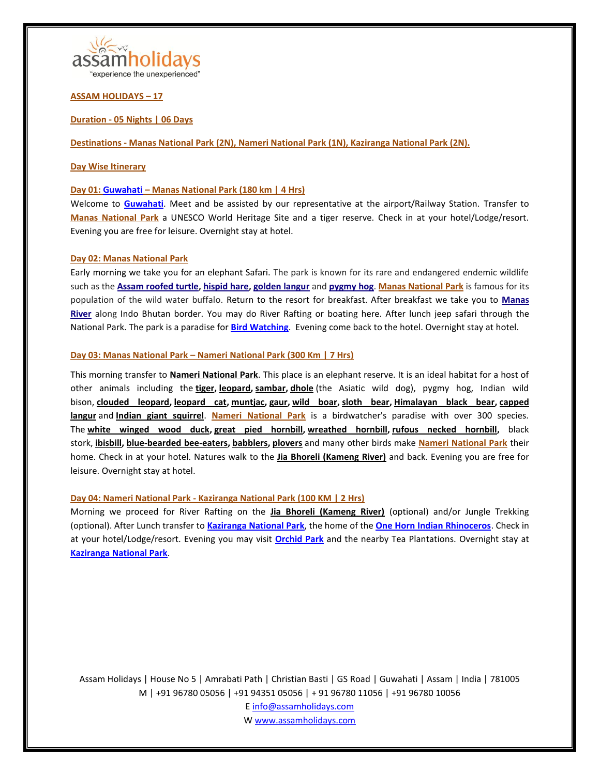

**ASSAM HOLIDAYS – 17**

## **Duration - 05 Nights | 06 Days**

**Destinations - [Manas National Park](https://en.wikipedia.org/wiki/Manas_National_Park) (2N)[, Nameri National Park](https://en.wikipedia.org/wiki/Nameri_National_Park) (1N), [Kaziranga National Park](https://en.wikipedia.org/wiki/Kaziranga_National_Park) (2N).**

### **Day Wise Itinerary**

### **Day 01: [Guwahati](https://en.wikipedia.org/wiki/Guwahati) – [Manas National Park](https://en.wikipedia.org/wiki/Manas_National_Park) (180 km | 4 Hrs)**

Welcome to **[Guwahati](https://en.wikipedia.org/wiki/Guwahati)**. Meet and be assisted by our representative at the airport/Railway Station. Transfer to **[Manas National Park](https://en.wikipedia.org/wiki/Manas_National_Park)** a UNESCO World Heritage Site and a tiger reserve. Check in at your hotel/Lodge/resort. Evening you are free for leisure. Overnight stay at hotel.

### **Day 02: [Manas National Park](https://en.wikipedia.org/wiki/Manas_National_Park)**

Early morning we take you for an elephant Safari. The park is known for its rare and endangered endemic wildlife such as the **[Assam roofed turtle,](https://en.wikipedia.org/wiki/Assam_roofed_turtle) [hispid hare,](https://en.wikipedia.org/wiki/Hispid_hare) [golden langur](https://en.wikipedia.org/wiki/Golden_langur)** and **[pygmy hog](https://en.wikipedia.org/wiki/Pygmy_hog)**. **[Manas National Park](https://en.wikipedia.org/wiki/Manas_National_Park)** is famous for its population of the wild water buffalo. Return to the resort for breakfast. After breakfast we take you to **[Manas](https://en.wikipedia.org/wiki/Manas_River)  [River](https://en.wikipedia.org/wiki/Manas_River)** along Indo Bhutan border. You may do River Rafting or boating here. After lunch jeep safari through the National Park. The park is a paradise for **[Bird Watching](https://www.sahapedia.org/birds-of-manas-national-park)**. Evening come back to the hotel. Overnight stay at hotel.

### **Day 03: [Manas National Park](https://en.wikipedia.org/wiki/Manas_National_Park) – [Nameri National Park](https://en.wikipedia.org/wiki/Nameri_National_Park) (300 Km | 7 Hrs)**

This morning transfer to **[Nameri National Park](https://en.wikipedia.org/wiki/Nameri_National_Park)**. This place is an elephant reserve. It is an ideal habitat for a host of other animals including the **[tiger,](https://en.wikipedia.org/wiki/Tiger) [leopard,](https://en.wikipedia.org/wiki/Leopard) [sambar,](https://en.wikipedia.org/wiki/Sambar_(deer)) [dhole](https://en.wikipedia.org/wiki/Dhole)** (the Asiatic wild dog), pygmy hog, Indian wild bison, **[clouded leopard,](https://en.wikipedia.org/wiki/Clouded_leopard) [leopard cat,](https://en.wikipedia.org/wiki/Leopard_cat) [muntjac,](https://en.wikipedia.org/wiki/Muntjac) [gaur,](https://en.wikipedia.org/wiki/Gaur) [wild boar,](https://en.wikipedia.org/wiki/Wild_boar) [sloth bear,](https://en.wikipedia.org/wiki/Sloth_bear) [Himalayan black bear,](https://en.wikipedia.org/wiki/Himalayan_black_bear) [capped](https://en.wikipedia.org/wiki/Capped_langur)  [langur](https://en.wikipedia.org/wiki/Capped_langur)** and **[Indian giant squirrel](https://en.wikipedia.org/wiki/Indian_giant_squirrel)**. **[Nameri National Park](https://en.wikipedia.org/wiki/Nameri_National_Park)** is a birdwatcher's paradise with over 300 species. The **[white winged wood duck,](https://en.wikipedia.org/wiki/White_winged_wood_duck) [great pied hornbill,](https://en.wikipedia.org/wiki/Great_pied_hornbill) [wreathed hornbill,](https://en.wikipedia.org/wiki/Wreathed_hornbill) [rufous necked hornbill,](https://en.wikipedia.org/wiki/Rufous_necked_hornbill)** black stork, **[ibisbill,](https://en.wikipedia.org/wiki/Ibisbill) [blue-bearded bee-eaters,](https://en.wikipedia.org/wiki/Blue-bearded_bee-eater) [babblers,](https://en.wikipedia.org/wiki/Old_World_babbler) [plovers](https://en.wikipedia.org/wiki/Plover)** and many other birds make **[Nameri National Park](https://en.wikipedia.org/wiki/Nameri_National_Park)** their home. Check in at your hotel. Natures walk to the **[Jia Bhoreli \(Kameng River\)](https://en.wikipedia.org/wiki/Kameng_River)** and back. Evening you are free for leisure. Overnight stay at hotel.

# **Day 04: [Nameri National Park](https://en.wikipedia.org/wiki/Nameri_National_Park) - [Kaziranga National Park](https://en.wikipedia.org/wiki/Kaziranga_National_Park) (100 KM | 2 Hrs)**

Morning we proceed for River Rafting on the **[Jia Bhoreli \(Kameng River\)](https://en.wikipedia.org/wiki/Kameng_River)** (optional) and/or Jungle Trekking (optional). After Lunch transfer to **[Kaziranga National Park](https://en.wikipedia.org/wiki/Kaziranga_National_Park)**, the home of the **[One Horn Indian Rhinoceros](https://en.wikipedia.org/wiki/Indian_rhinoceros)**. Check in at your hotel/Lodge/resort. Evening you may visit **[Orchid Park](https://www.tripadvisor.in/Attraction_Review-g858488-d10033999-Reviews-Kaziranga_National_Orchid_And_Biodiversity_Park-Kaziranga_National_Park_Nagaon_D.html)** and the nearby Tea Plantations. Overnight stay at **[Kaziranga National Park](https://en.wikipedia.org/wiki/Kaziranga_National_Park)**.

Assam Holidays | House No 5 | Amrabati Path | Christian Basti | GS Road | Guwahati | Assam | India | 781005 M | +91 96780 05056 | +91 94351 05056 | + 91 96780 11056 | +91 96780 10056 E info@assamholidays.com

W www.assamholidays.com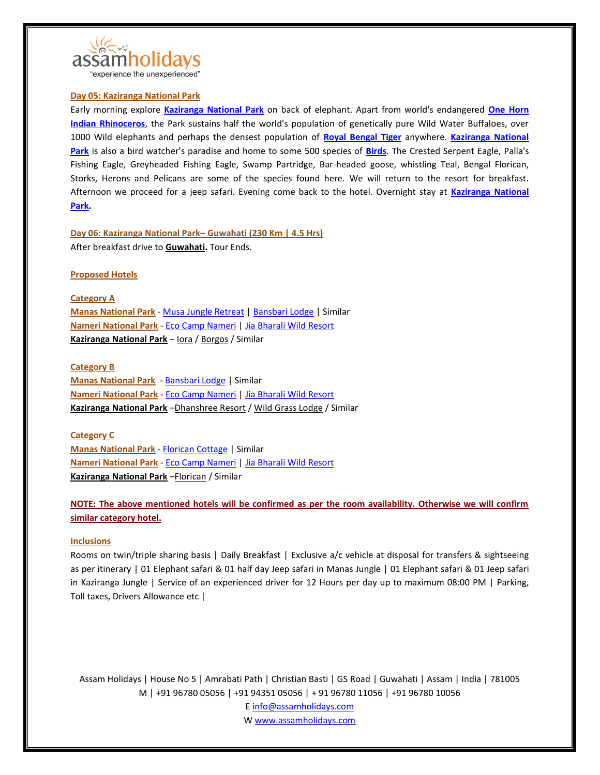

## "experience the unexperienced"

## **Day 05: [Kaziranga National Park](https://en.wikipedia.org/wiki/Kaziranga_National_Park)**

Early morning explore **[Kaziranga National Park](https://en.wikipedia.org/wiki/Kaziranga_National_Park)** on back of elephant. Apart from world's endangered **[One Horn](https://en.wikipedia.org/wiki/Indian_rhinoceros)  [Indian Rhinoceros](https://en.wikipedia.org/wiki/Indian_rhinoceros)**, the Park sustains half the world's population of genetically pure Wild Water Buffaloes, over 1000 Wild elephants and perhaps the densest population of **[Royal Bengal Tiger](https://en.wikipedia.org/wiki/Bengal_tiger)** anywhere. **[Kaziranga National](https://en.wikipedia.org/wiki/Kaziranga_National_Park)  [Park](https://en.wikipedia.org/wiki/Kaziranga_National_Park)** is also a bird watcher's paradise and home to some 500 species of **[Birds](https://en.wikipedia.org/wiki/List_of_birds_of_Kaziranga_National_Park)**. The Crested Serpent Eagle, Palla's Fishing Eagle, Greyheaded Fishing Eagle, Swamp Partridge, Bar-headed goose, whistling Teal, Bengal Florican, Storks, Herons and Pelicans are some of the species found here. We will return to the resort for breakfast. Afternoon we proceed for a jeep safari. Evening come back to the hotel. Overnight stay at **[Kaziranga National](https://en.wikipedia.org/wiki/Kaziranga_National_Park)  [Park.](https://en.wikipedia.org/wiki/Kaziranga_National_Park)**

**Day 06: [Kaziranga National Park](https://en.wikipedia.org/wiki/Kaziranga_National_Park)– [Guwahati](https://en.wikipedia.org/wiki/Guwahati) (230 Km | 4.5 Hrs)** After breakfast drive to **[Guwahati.](https://en.wikipedia.org/wiki/Guwahati)** Tour Ends.

### **Proposed Hotels**

**Category A [Manas National Park](https://en.wikipedia.org/wiki/Manas_National_Park) -** [Musa Jungle Retreat](http://musa.co.in/) [| Bansbari Lodge](https://www.assambengalnavigation.com/bansbari-lodge) | Similar **[Nameri National Park](https://en.wikipedia.org/wiki/Nameri_National_Park) -** [Eco Camp Nameri](http://www.nameri.co.in/) [| Jia Bharali Wild Resort](https://www.facebook.com/pages/Jia-Bharali-Wild-Resort/266893570124530) **[Kaziranga National Park](https://en.wikipedia.org/wiki/Kaziranga_National_Park)** – [Iora](http://kazirangasafari.com/) / [Borgos](http://kazirangaborgos.com/) / Similar

#### **Category B**

**[Manas National Park](https://en.wikipedia.org/wiki/Manas_National_Park) -** [Bansbari Lodge](https://www.assambengalnavigation.com/bansbari-lodge) | Similar **[Nameri National Park](https://en.wikipedia.org/wiki/Nameri_National_Park) -** [Eco Camp Nameri](http://www.nameri.co.in/) [| Jia Bharali Wild Resort](https://www.facebook.com/pages/Jia-Bharali-Wild-Resort/266893570124530) **[Kaziranga National Park](https://en.wikipedia.org/wiki/Kaziranga_National_Park)** –[Dhanshree Resort](http://dhanshreeresort.com/) [/ Wild Grass Lodge](https://www.tripadvisor.in/Hotel_Review-g858488-d501565-Reviews-Wild_Grass_Lodge-Kaziranga_National_Park_Nagaon_District_Assam.html) / Similar

#### **Category C**

**[Manas National Park](https://en.wikipedia.org/wiki/Manas_National_Park) -** [Florican Cottage](http://www.floricancottage.com/) | Similar **[Nameri National Park](https://en.wikipedia.org/wiki/Nameri_National_Park) -** [Eco Camp Nameri](http://www.nameri.co.in/) [| Jia Bharali Wild Resort](https://www.facebook.com/pages/Jia-Bharali-Wild-Resort/266893570124530) **[Kaziranga National Park](https://en.wikipedia.org/wiki/Kaziranga_National_Park)** –[Florican](http://www.kazirangaflorican.com/) / Similar

**NOTE: The above mentioned hotels will be confirmed as per the room availability. Otherwise we will confirm similar category hotel.**

#### **Inclusions**

Rooms on twin/triple sharing basis | Daily Breakfast | Exclusive a/c vehicle at disposal for transfers & sightseeing as per itinerary | 01 Elephant safari & 01 half day Jeep safari in Manas Jungle | 01 Elephant safari & 01 Jeep safari in Kaziranga Jungle | Service of an experienced driver for 12 Hours per day up to maximum 08:00 PM | Parking, Toll taxes, Drivers Allowance etc |

Assam Holidays | House No 5 | Amrabati Path | Christian Basti | GS Road | Guwahati | Assam | India | 781005 M | +91 96780 05056 | +91 94351 05056 | + 91 96780 11056 | +91 96780 10056 E info@assamholidays.com W www.assamholidays.com